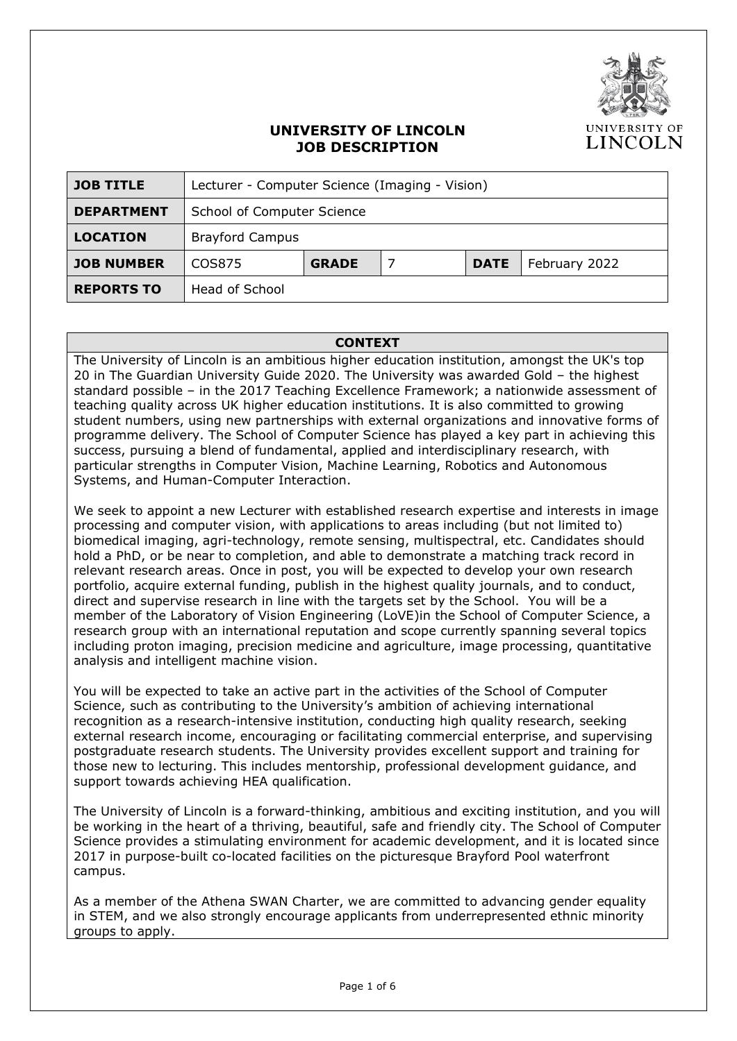

### **UNIVERSITY OF LINCOLN JOB DESCRIPTION**

| <b>JOB TITLE</b>  | Lecturer - Computer Science (Imaging - Vision) |              |  |             |               |  |
|-------------------|------------------------------------------------|--------------|--|-------------|---------------|--|
| <b>DEPARTMENT</b> | School of Computer Science                     |              |  |             |               |  |
| <b>LOCATION</b>   | <b>Brayford Campus</b>                         |              |  |             |               |  |
| <b>JOB NUMBER</b> | COS875                                         | <b>GRADE</b> |  | <b>DATE</b> | February 2022 |  |
| <b>REPORTS TO</b> | Head of School                                 |              |  |             |               |  |

#### **CONTEXT**

The University of Lincoln is an ambitious higher education institution, amongst the UK's top 20 in The Guardian University Guide 2020. The University was awarded Gold – the highest standard possible – in the 2017 Teaching Excellence Framework; a nationwide assessment of teaching quality across UK higher education institutions. It is also committed to growing student numbers, using new partnerships with external organizations and innovative forms of programme delivery. The School of Computer Science has played a key part in achieving this success, pursuing a blend of fundamental, applied and interdisciplinary research, with particular strengths in Computer Vision, Machine Learning, Robotics and Autonomous Systems, and Human-Computer Interaction.

We seek to appoint a new Lecturer with established research expertise and interests in image processing and computer vision, with applications to areas including (but not limited to) biomedical imaging, agri-technology, remote sensing, multispectral, etc. Candidates should hold a PhD, or be near to completion, and able to demonstrate a matching track record in relevant research areas. Once in post, you will be expected to develop your own research portfolio, acquire external funding, publish in the highest quality journals, and to conduct, direct and supervise research in line with the targets set by the School. You will be a member of the Laboratory of Vision Engineering (LoVE)in the School of Computer Science, a research group with an international reputation and scope currently spanning several topics including proton imaging, precision medicine and agriculture, image processing, quantitative analysis and intelligent machine vision.

You will be expected to take an active part in the activities of the School of Computer Science, such as contributing to the University's ambition of achieving international recognition as a research-intensive institution, conducting high quality research, seeking external research income, encouraging or facilitating commercial enterprise, and supervising postgraduate research students. The University provides excellent support and training for those new to lecturing. This includes mentorship, professional development guidance, and support towards achieving HEA qualification.

The University of Lincoln is a forward-thinking, ambitious and exciting institution, and you will be working in the heart of a thriving, beautiful, safe and friendly city. The School of Computer Science provides a stimulating environment for academic development, and it is located since 2017 in purpose-built co-located facilities on the picturesque Brayford Pool waterfront campus.

As a member of the Athena SWAN Charter, we are committed to advancing gender equality in STEM, and we also strongly encourage applicants from underrepresented ethnic minority groups to apply.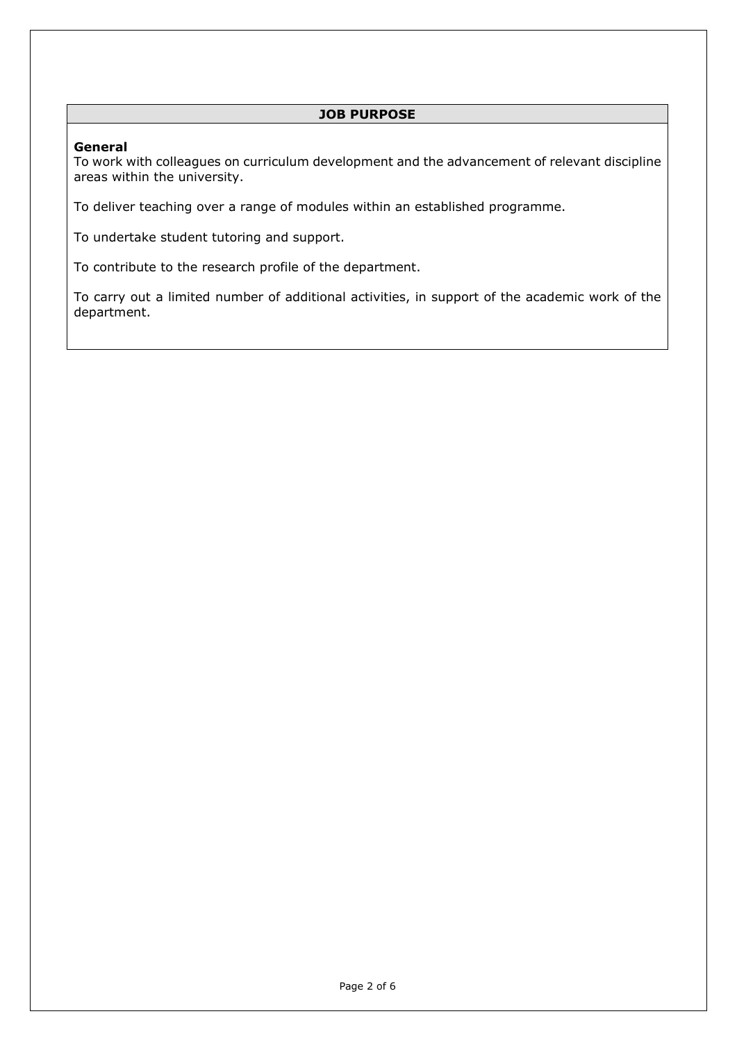#### **JOB PURPOSE**

#### **General**

To work with colleagues on curriculum development and the advancement of relevant discipline areas within the university.

To deliver teaching over a range of modules within an established programme.

To undertake student tutoring and support.

To contribute to the research profile of the department.

To carry out a limited number of additional activities, in support of the academic work of the department.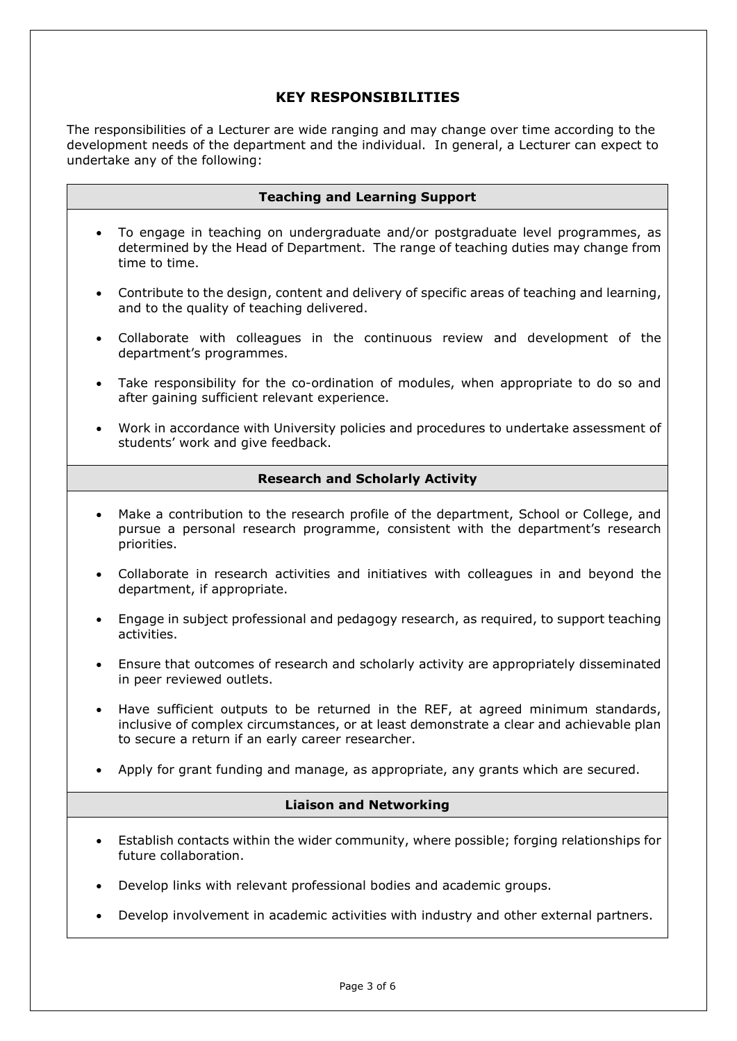## **KEY RESPONSIBILITIES**

The responsibilities of a Lecturer are wide ranging and may change over time according to the development needs of the department and the individual. In general, a Lecturer can expect to undertake any of the following:

| <b>Teaching and Learning Support</b>                                                                                                                                                                                            |  |  |  |  |
|---------------------------------------------------------------------------------------------------------------------------------------------------------------------------------------------------------------------------------|--|--|--|--|
| To engage in teaching on undergraduate and/or postgraduate level programmes, as<br>$\bullet$<br>determined by the Head of Department. The range of teaching duties may change from<br>time to time.                             |  |  |  |  |
| Contribute to the design, content and delivery of specific areas of teaching and learning,<br>$\bullet$<br>and to the quality of teaching delivered.                                                                            |  |  |  |  |
| Collaborate with colleagues in the continuous review and development of the<br>$\bullet$<br>department's programmes.                                                                                                            |  |  |  |  |
| Take responsibility for the co-ordination of modules, when appropriate to do so and<br>$\bullet$<br>after gaining sufficient relevant experience.                                                                               |  |  |  |  |
| Work in accordance with University policies and procedures to undertake assessment of<br>$\bullet$<br>students' work and give feedback.                                                                                         |  |  |  |  |
| <b>Research and Scholarly Activity</b>                                                                                                                                                                                          |  |  |  |  |
| Make a contribution to the research profile of the department, School or College, and<br>pursue a personal research programme, consistent with the department's research<br>priorities.                                         |  |  |  |  |
| Collaborate in research activities and initiatives with colleagues in and beyond the<br>$\bullet$<br>department, if appropriate.                                                                                                |  |  |  |  |
| Engage in subject professional and pedagogy research, as required, to support teaching<br>$\bullet$<br>activities.                                                                                                              |  |  |  |  |
| Ensure that outcomes of research and scholarly activity are appropriately disseminated<br>$\bullet$<br>in peer reviewed outlets.                                                                                                |  |  |  |  |
| Have sufficient outputs to be returned in the REF, at agreed minimum standards,<br>inclusive of complex circumstances, or at least demonstrate a clear and achievable plan<br>to secure a return if an early career researcher. |  |  |  |  |
| Apply for grant funding and manage, as appropriate, any grants which are secured.                                                                                                                                               |  |  |  |  |
| <b>Liaison and Networking</b>                                                                                                                                                                                                   |  |  |  |  |
| Establish contacts within the wider community, where possible; forging relationships for<br>future collaboration.                                                                                                               |  |  |  |  |
| Develop links with relevant professional bodies and academic groups.                                                                                                                                                            |  |  |  |  |
| Develop involvement in academic activities with industry and other external partners.                                                                                                                                           |  |  |  |  |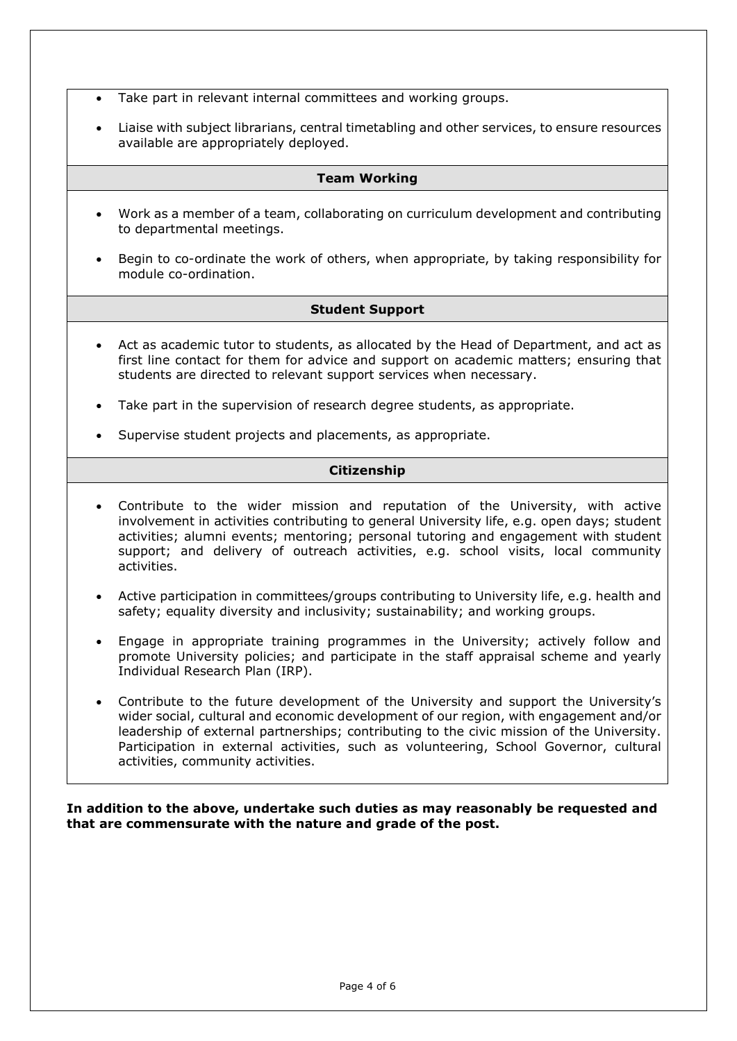- Take part in relevant internal committees and working groups.
- Liaise with subject librarians, central timetabling and other services, to ensure resources available are appropriately deployed.

#### **Team Working**

- Work as a member of a team, collaborating on curriculum development and contributing to departmental meetings.
- Begin to co-ordinate the work of others, when appropriate, by taking responsibility for module co-ordination.

#### **Student Support**

- Act as academic tutor to students, as allocated by the Head of Department, and act as first line contact for them for advice and support on academic matters; ensuring that students are directed to relevant support services when necessary.
- Take part in the supervision of research degree students, as appropriate.
- Supervise student projects and placements, as appropriate.

#### **Citizenship**

- Contribute to the wider mission and reputation of the University, with active involvement in activities contributing to general University life, e.g. open days; student activities; alumni events; mentoring; personal tutoring and engagement with student support; and delivery of outreach activities, e.g. school visits, local community activities.
- Active participation in committees/groups contributing to University life, e.g. health and safety; equality diversity and inclusivity; sustainability; and working groups.
- Engage in appropriate training programmes in the University; actively follow and promote University policies; and participate in the staff appraisal scheme and yearly Individual Research Plan (IRP).
- Contribute to the future development of the University and support the University's wider social, cultural and economic development of our region, with engagement and/or leadership of external partnerships; contributing to the civic mission of the University. Participation in external activities, such as volunteering, School Governor, cultural activities, community activities.

**In addition to the above, undertake such duties as may reasonably be requested and that are commensurate with the nature and grade of the post.**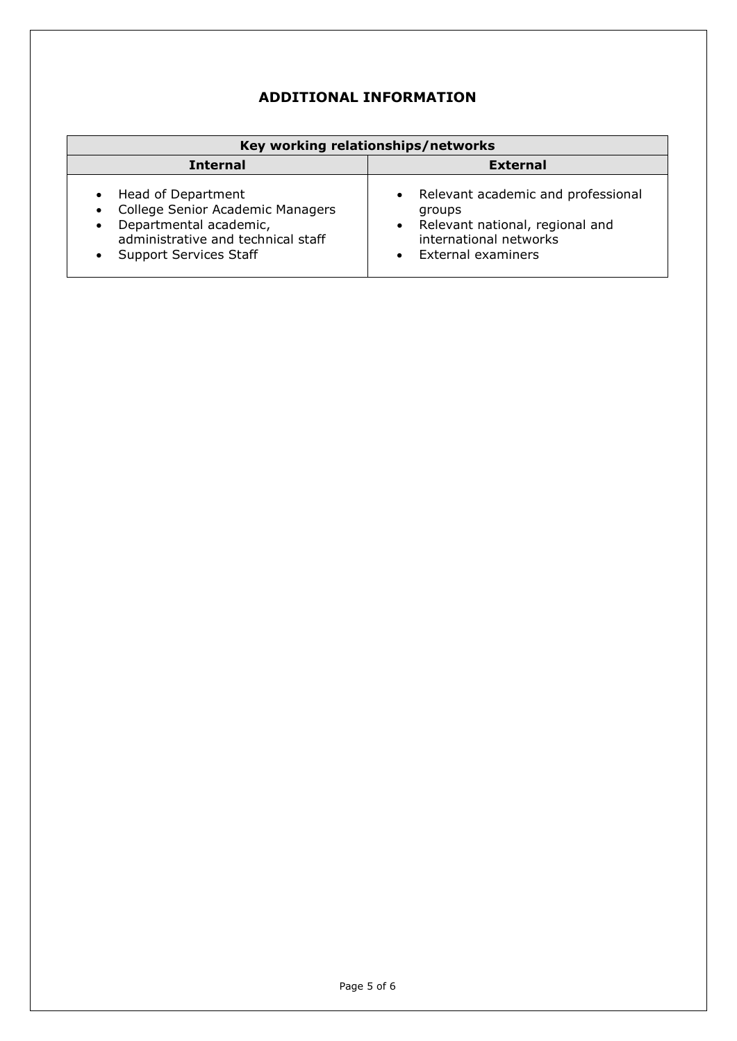# **ADDITIONAL INFORMATION**

| Key working relationships/networks                                                                                                                                                                          |                                                                                                                                                |  |  |  |  |
|-------------------------------------------------------------------------------------------------------------------------------------------------------------------------------------------------------------|------------------------------------------------------------------------------------------------------------------------------------------------|--|--|--|--|
| <b>Internal</b>                                                                                                                                                                                             | <b>External</b>                                                                                                                                |  |  |  |  |
| Head of Department<br>$\bullet$<br>College Senior Academic Managers<br>$\bullet$<br>Departmental academic,<br>$\bullet$<br>administrative and technical staff<br><b>Support Services Staff</b><br>$\bullet$ | Relevant academic and professional<br>$\bullet$<br>groups<br>• Relevant national, regional and<br>international networks<br>External examiners |  |  |  |  |